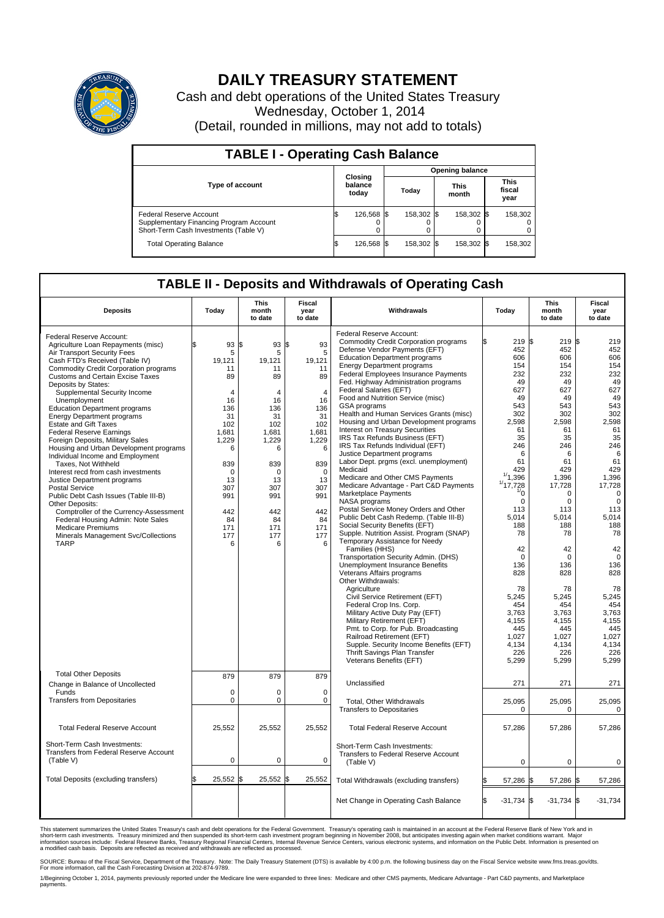

## **DAILY TREASURY STATEMENT**

Cash and debt operations of the United States Treasury Wednesday, October 1, 2014 (Detail, rounded in millions, may not add to totals)

| <b>TABLE I - Operating Cash Balance</b>                                                                     |  |                             |  |                        |  |                      |  |                               |  |  |
|-------------------------------------------------------------------------------------------------------------|--|-----------------------------|--|------------------------|--|----------------------|--|-------------------------------|--|--|
|                                                                                                             |  |                             |  | <b>Opening balance</b> |  |                      |  |                               |  |  |
| <b>Type of account</b>                                                                                      |  | Closing<br>balance<br>today |  | Todav                  |  | <b>This</b><br>month |  | <b>This</b><br>fiscal<br>year |  |  |
| Federal Reserve Account<br>Supplementary Financing Program Account<br>Short-Term Cash Investments (Table V) |  | 126,568 \$                  |  | 158,302 \$             |  | 158.302 \$           |  | 158,302                       |  |  |
| <b>Total Operating Balance</b>                                                                              |  | 126,568 \$                  |  | 158,302 \$             |  | 158,302 \$           |  | 158,302                       |  |  |

## **TABLE II - Deposits and Withdrawals of Operating Cash**

| <b>Deposits</b>                                                                                                                                                                                                                                                                                                                                                                                                                                                                                                                                                                                                                                                                                                                                                                                                                                                                                                        | Today                                                                                                                                                                | <b>This</b><br>month<br>to date                                                                                                                                     | Fiscal<br>year<br>to date                                                                                                                                                         | Withdrawals                                                                                                                                                                                                                                                                                                                                                                                                                                                                                                                                                                                                                                                                                                                                                                                                                                                                                                                                                                                                                                                                                                                                                               | Today                                                                                                                                                                                                                                        | <b>This</b><br>month<br>to date                                                                                                                                                                                                    | Fiscal<br>year<br>to date                                                                                                                                                                                                                   |
|------------------------------------------------------------------------------------------------------------------------------------------------------------------------------------------------------------------------------------------------------------------------------------------------------------------------------------------------------------------------------------------------------------------------------------------------------------------------------------------------------------------------------------------------------------------------------------------------------------------------------------------------------------------------------------------------------------------------------------------------------------------------------------------------------------------------------------------------------------------------------------------------------------------------|----------------------------------------------------------------------------------------------------------------------------------------------------------------------|---------------------------------------------------------------------------------------------------------------------------------------------------------------------|-----------------------------------------------------------------------------------------------------------------------------------------------------------------------------------|---------------------------------------------------------------------------------------------------------------------------------------------------------------------------------------------------------------------------------------------------------------------------------------------------------------------------------------------------------------------------------------------------------------------------------------------------------------------------------------------------------------------------------------------------------------------------------------------------------------------------------------------------------------------------------------------------------------------------------------------------------------------------------------------------------------------------------------------------------------------------------------------------------------------------------------------------------------------------------------------------------------------------------------------------------------------------------------------------------------------------------------------------------------------------|----------------------------------------------------------------------------------------------------------------------------------------------------------------------------------------------------------------------------------------------|------------------------------------------------------------------------------------------------------------------------------------------------------------------------------------------------------------------------------------|---------------------------------------------------------------------------------------------------------------------------------------------------------------------------------------------------------------------------------------------|
| Federal Reserve Account:<br>Agriculture Loan Repayments (misc)<br>Air Transport Security Fees<br>Cash FTD's Received (Table IV)<br><b>Commodity Credit Corporation programs</b><br><b>Customs and Certain Excise Taxes</b><br>Deposits by States:<br>Supplemental Security Income<br>Unemployment<br><b>Education Department programs</b><br><b>Energy Department programs</b><br><b>Estate and Gift Taxes</b><br><b>Federal Reserve Earnings</b><br>Foreign Deposits, Military Sales<br>Housing and Urban Development programs<br>Individual Income and Employment<br>Taxes, Not Withheld<br>Interest recd from cash investments<br>Justice Department programs<br><b>Postal Service</b><br>Public Debt Cash Issues (Table III-B)<br>Other Deposits:<br>Comptroller of the Currency-Assessment<br>Federal Housing Admin: Note Sales<br><b>Medicare Premiums</b><br>Minerals Management Svc/Collections<br><b>TARP</b> | 93<br>\$.<br>5<br>19,121<br>11<br>89<br>4<br>16<br>136<br>31<br>102<br>1,681<br>1,229<br>6<br>839<br>$\mathbf 0$<br>13<br>307<br>991<br>442<br>84<br>171<br>177<br>6 | \$<br>93<br>5<br>19,121<br>11<br>89<br>4<br>16<br>136<br>31<br>102<br>1,681<br>1,229<br>6<br>839<br>$\mathbf 0$<br>13<br>307<br>991<br>442<br>84<br>171<br>177<br>6 | l\$<br>93<br>5<br>19,121<br>11<br>89<br>$\overline{4}$<br>16<br>136<br>31<br>102<br>1,681<br>1,229<br>6<br>839<br>$\mathbf 0$<br>13<br>307<br>991<br>442<br>84<br>171<br>177<br>6 | Federal Reserve Account:<br><b>Commodity Credit Corporation programs</b><br>Defense Vendor Payments (EFT)<br><b>Education Department programs</b><br><b>Energy Department programs</b><br>Federal Employees Insurance Payments<br>Fed. Highway Administration programs<br>Federal Salaries (EFT)<br>Food and Nutrition Service (misc)<br>GSA programs<br>Health and Human Services Grants (misc)<br>Housing and Urban Development programs<br>Interest on Treasury Securities<br>IRS Tax Refunds Business (EFT)<br>IRS Tax Refunds Individual (EFT)<br>Justice Department programs<br>Labor Dept. prgms (excl. unemployment)<br>Medicaid<br>Medicare and Other CMS Payments<br>Medicare Advantage - Part C&D Payments<br><b>Marketplace Payments</b><br>NASA programs<br>Postal Service Money Orders and Other<br>Public Debt Cash Redemp. (Table III-B)<br>Social Security Benefits (EFT)<br>Supple. Nutrition Assist. Program (SNAP)<br>Temporary Assistance for Needy<br>Families (HHS)<br>Transportation Security Admin. (DHS)<br>Unemployment Insurance Benefits<br>Veterans Affairs programs<br>Other Withdrawals:<br>Agriculture<br>Civil Service Retirement (EFT) | 219 \$<br>452<br>606<br>154<br>232<br>49<br>627<br>49<br>543<br>302<br>2,598<br>61<br>35<br>246<br>6<br>61<br>429<br>1/1,396<br>1/17,728<br>"0<br>$\mathbf 0$<br>113<br>5.014<br>188<br>78<br>42<br>$\mathbf 0$<br>136<br>828<br>78<br>5,245 | 219S<br>452<br>606<br>154<br>232<br>49<br>627<br>49<br>543<br>302<br>2,598<br>61<br>35<br>246<br>6<br>61<br>429<br>1,396<br>17,728<br>$\Omega$<br>0<br>113<br>5.014<br>188<br>78<br>42<br>$\mathbf 0$<br>136<br>828<br>78<br>5,245 | 219<br>452<br>606<br>154<br>232<br>49<br>627<br>49<br>543<br>302<br>2,598<br>61<br>35<br>246<br>6<br>61<br>429<br>1,396<br>17,728<br>$\Omega$<br>$\mathbf 0$<br>113<br>5.014<br>188<br>78<br>42<br>$\mathbf 0$<br>136<br>828<br>78<br>5,245 |
|                                                                                                                                                                                                                                                                                                                                                                                                                                                                                                                                                                                                                                                                                                                                                                                                                                                                                                                        |                                                                                                                                                                      |                                                                                                                                                                     |                                                                                                                                                                                   | Federal Crop Ins. Corp.<br>Military Active Duty Pay (EFT)<br>Military Retirement (EFT)<br>Pmt. to Corp. for Pub. Broadcasting<br>Railroad Retirement (EFT)<br>Supple. Security Income Benefits (EFT)<br>Thrift Savings Plan Transfer<br>Veterans Benefits (EFT)                                                                                                                                                                                                                                                                                                                                                                                                                                                                                                                                                                                                                                                                                                                                                                                                                                                                                                           | 454<br>3,763<br>4,155<br>445<br>1,027<br>4.134<br>226<br>5,299                                                                                                                                                                               | 454<br>3,763<br>4,155<br>445<br>1,027<br>4,134<br>226<br>5,299                                                                                                                                                                     | 454<br>3,763<br>4,155<br>445<br>1,027<br>4,134<br>226<br>5,299                                                                                                                                                                              |
| <b>Total Other Deposits</b><br>Change in Balance of Uncollected                                                                                                                                                                                                                                                                                                                                                                                                                                                                                                                                                                                                                                                                                                                                                                                                                                                        | 879                                                                                                                                                                  | 879                                                                                                                                                                 | 879                                                                                                                                                                               | Unclassified                                                                                                                                                                                                                                                                                                                                                                                                                                                                                                                                                                                                                                                                                                                                                                                                                                                                                                                                                                                                                                                                                                                                                              | 271                                                                                                                                                                                                                                          | 271                                                                                                                                                                                                                                | 271                                                                                                                                                                                                                                         |
| Funds<br><b>Transfers from Depositaries</b>                                                                                                                                                                                                                                                                                                                                                                                                                                                                                                                                                                                                                                                                                                                                                                                                                                                                            | $\mathbf 0$<br>$\mathbf 0$                                                                                                                                           | 0<br>0                                                                                                                                                              | 0<br>0                                                                                                                                                                            | Total, Other Withdrawals<br><b>Transfers to Depositaries</b>                                                                                                                                                                                                                                                                                                                                                                                                                                                                                                                                                                                                                                                                                                                                                                                                                                                                                                                                                                                                                                                                                                              | 25,095<br>$\mathbf 0$                                                                                                                                                                                                                        | 25,095<br>$\Omega$                                                                                                                                                                                                                 | 25,095<br>$\mathbf 0$                                                                                                                                                                                                                       |
| <b>Total Federal Reserve Account</b>                                                                                                                                                                                                                                                                                                                                                                                                                                                                                                                                                                                                                                                                                                                                                                                                                                                                                   | 25,552                                                                                                                                                               | 25,552                                                                                                                                                              | 25,552                                                                                                                                                                            | <b>Total Federal Reserve Account</b>                                                                                                                                                                                                                                                                                                                                                                                                                                                                                                                                                                                                                                                                                                                                                                                                                                                                                                                                                                                                                                                                                                                                      | 57,286                                                                                                                                                                                                                                       | 57,286                                                                                                                                                                                                                             | 57,286                                                                                                                                                                                                                                      |
| Short-Term Cash Investments:<br><b>Transfers from Federal Reserve Account</b><br>(Table V)                                                                                                                                                                                                                                                                                                                                                                                                                                                                                                                                                                                                                                                                                                                                                                                                                             | $\pmb{0}$                                                                                                                                                            | 0                                                                                                                                                                   | 0                                                                                                                                                                                 | Short-Term Cash Investments:<br><b>Transfers to Federal Reserve Account</b><br>(Table V)                                                                                                                                                                                                                                                                                                                                                                                                                                                                                                                                                                                                                                                                                                                                                                                                                                                                                                                                                                                                                                                                                  | $\mathbf 0$                                                                                                                                                                                                                                  | 0                                                                                                                                                                                                                                  |                                                                                                                                                                                                                                             |
| Total Deposits (excluding transfers)                                                                                                                                                                                                                                                                                                                                                                                                                                                                                                                                                                                                                                                                                                                                                                                                                                                                                   | 25,552                                                                                                                                                               | \$<br>25,552 \$                                                                                                                                                     | 25,552                                                                                                                                                                            | Total Withdrawals (excluding transfers)                                                                                                                                                                                                                                                                                                                                                                                                                                                                                                                                                                                                                                                                                                                                                                                                                                                                                                                                                                                                                                                                                                                                   | 57,286 \$                                                                                                                                                                                                                                    | 57,286 \$                                                                                                                                                                                                                          | 57,286                                                                                                                                                                                                                                      |
|                                                                                                                                                                                                                                                                                                                                                                                                                                                                                                                                                                                                                                                                                                                                                                                                                                                                                                                        |                                                                                                                                                                      |                                                                                                                                                                     |                                                                                                                                                                                   | Net Change in Operating Cash Balance                                                                                                                                                                                                                                                                                                                                                                                                                                                                                                                                                                                                                                                                                                                                                                                                                                                                                                                                                                                                                                                                                                                                      | ß.<br>$-31,734$ \$                                                                                                                                                                                                                           | $-31,734$ \$                                                                                                                                                                                                                       | $-31,734$                                                                                                                                                                                                                                   |

This statement summarizes the United States Treasury's cash and debt operations for the Federal Government. Treasury's operating cash is maintained in an account at the Federal Reserve Bank of New York and in<br>short-term ca

SOURCE: Bureau of the Fiscal Service, Department of the Treasury. Note: The Daily Treasury Statement (DTS) is available by 4:00 p.m. the following business day on the Fiscal Service website www.fms.treas.gov/dts.<br>For more

1/Beginning October 1, 2014, payments previously reported under the Medicare line were expanded to three lines: Medicare and other CMS payments, Medicare Advantage - Part C&D payments, and Marketplace payments.